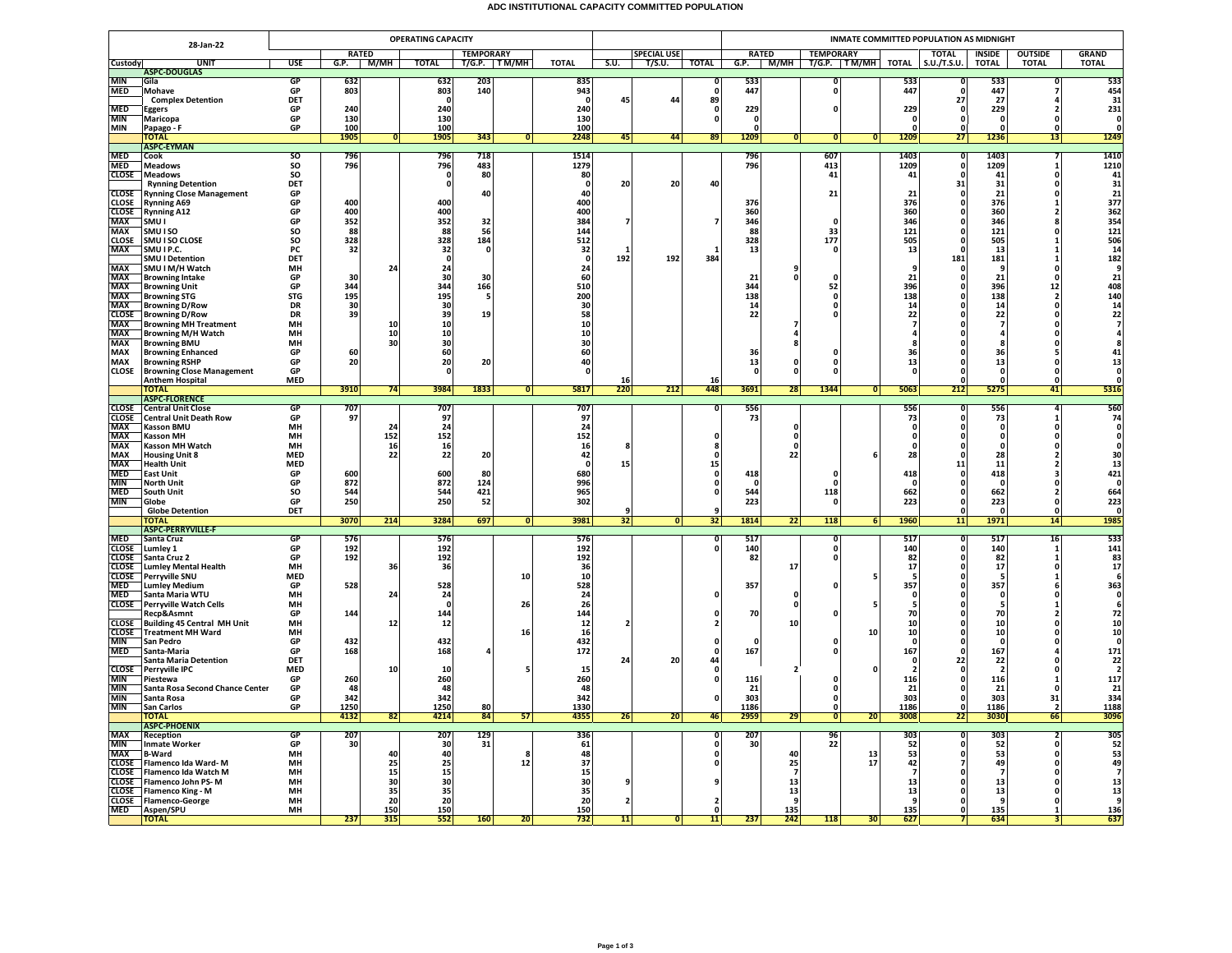## **ADC INSTITUTIONAL CAPACITY COMMITTED POPULATION**

|                              |                                                                               |                   |              |           | <b>OPERATING CAPACITY</b> |                     |                |              |      |                    |                         | INMATE COMMITTED POPULATION AS MIDNIGHT |                      |                              |                 |                 |                   |                 |                               |                                                                           |  |
|------------------------------|-------------------------------------------------------------------------------|-------------------|--------------|-----------|---------------------------|---------------------|----------------|--------------|------|--------------------|-------------------------|-----------------------------------------|----------------------|------------------------------|-----------------|-----------------|-------------------|-----------------|-------------------------------|---------------------------------------------------------------------------|--|
|                              | 28-Jan-22                                                                     |                   | <b>RATED</b> |           |                           | <b>TEMPORARY</b>    |                |              |      | <b>SPECIAL USE</b> |                         |                                         | <b>RATED</b>         | <b>TEMPORARY</b>             |                 |                 | <b>TOTAL</b>      | INSIDE          | <b>OUTSIDE</b>                | <b>GRAND</b>                                                              |  |
| <b>Custody</b>               | <b>UNIT</b>                                                                   | <b>USE</b>        | G.P.         | — М/МН    | <b>TOTAL</b>              | T/G.P. TM/MH        |                | <b>TOTAL</b> | S.U. | T/S.U.             | <b>TOTAL</b>            |                                         |                      | G.P. M/MH T/G.P. TM/MH TOTAL |                 |                 | S.U./T.S.U.       | <b>TOTAL</b>    | <b>TOTAL</b>                  | <b>TOTAL</b>                                                              |  |
| <b>MIN</b>                   | <b>ASPC-DOUGLAS</b><br>Gila                                                   | GP                | 632          |           | 632                       | 203                 |                | 835          |      |                    | n                       | 533                                     |                      | n                            |                 | 533             |                   | 533             |                               | 533                                                                       |  |
| <b>MED</b>                   | Mohave                                                                        | GP                | 803          |           | 803                       | 140                 |                | 943          |      |                    | $\mathbf{0}$            | 447                                     |                      | 0                            |                 | 447             |                   | 447             |                               | 454                                                                       |  |
|                              | <b>Complex Detention</b>                                                      | DET               |              |           | $\Omega$                  |                     |                | - 0          | 45   | 44                 | 89                      |                                         |                      |                              |                 |                 | 27                | -27             |                               | 31                                                                        |  |
| <b>MED</b><br><b>MIN</b>     | <b>Eggers</b><br>Maricopa                                                     | GP<br>GP          | 240<br>130   |           | 240<br>130                |                     |                | 240<br>130   |      |                    | 0<br>$\mathbf{0}$       | 229<br>$\mathbf{0}$                     |                      | 0                            |                 | 229<br>$\Omega$ | $\mathbf{0}$<br>O | 229<br>$\Omega$ | $\Omega$                      | 231<br>$\Omega$                                                           |  |
| <b>MIN</b>                   | Papago - F                                                                    | GP                | 100          |           | 100                       |                     |                | 100          |      |                    |                         | 0                                       |                      |                              |                 |                 |                   |                 |                               | 0                                                                         |  |
|                              | <b>TOTAL</b>                                                                  |                   | 1905         | 0         | 1905                      | 343                 | $\Omega$       | 2248         | 45   | 44                 | 89                      | 1209                                    | 0                    | 0                            | $\mathbf{0}$    | 1209            | 27                | 1236            | 13                            | 1249                                                                      |  |
|                              | <b>ASPC-EYMAN</b>                                                             | <sub>SO</sub>     | 796          |           | 796                       | 718                 |                | 1514         |      |                    |                         | 796                                     |                      | 607                          |                 | 1403            | n                 | 1403            |                               | 1410                                                                      |  |
| MED<br>MED                   | Cook<br><b>Meadows</b>                                                        | SO                | 796          |           | 796                       | 483                 |                | 1279         |      |                    |                         | 796                                     |                      | 413                          |                 | 1209            | $\Omega$          | 1209            |                               | 1210                                                                      |  |
| <b>CLOSE</b>                 | <b>Meadows</b>                                                                | SO                |              |           | 0                         | 80                  |                | 80           |      |                    |                         |                                         |                      | 41                           |                 | 41              |                   | 41              | 0                             | 41                                                                        |  |
|                              | <b>Rynning Detention</b>                                                      | DET               |              |           | $\mathbf 0$               |                     |                | - 0          | 20   | 20                 | 40                      |                                         |                      |                              |                 |                 | 31                | 31              |                               | 31                                                                        |  |
| <b>CLOSE</b>                 | <b>Rynning Close Management</b><br><b>Rynning A69</b>                         | GP<br>GP          | 400          |           | 400                       | 40                  |                | 40<br>400    |      |                    |                         | 376                                     |                      | 21                           |                 | 21<br>376       |                   | 21<br>376       | n                             | 21<br>377                                                                 |  |
| <b>CLOSE</b><br>CLOSE        | <b>Rynning A12</b>                                                            | GP                | 400          |           | 400                       |                     |                | 400          |      |                    |                         | 360                                     |                      |                              |                 | 360             |                   | 360             |                               | 362                                                                       |  |
| <b>MAX</b>                   | SMU I                                                                         | GP                | 352          |           | 352                       | 32                  |                | 384          |      |                    |                         | 346                                     |                      | $\Omega$                     |                 | 346             |                   | 346             |                               | 354                                                                       |  |
| <b>MAX</b>                   | SMU I SO                                                                      | <b>SO</b>         | 88           |           | 88                        | 56                  |                | 144          |      |                    |                         | 88                                      |                      | 33                           |                 | 121             |                   | 121             |                               | 121                                                                       |  |
| <b>CLOSE</b><br>MAX          | SMU I SO CLOSE<br>SMU I P.C.                                                  | SO<br>PC          | 328<br>32    |           | 328<br>32                 | 184<br>$\mathbf{0}$ |                | 512<br>32    |      |                    |                         | 328<br>13                               |                      | 177<br>$\mathbf{0}$          |                 | 505<br>13       |                   | 505<br>13       |                               | 506<br>14                                                                 |  |
|                              | <b>SMU I Detention</b>                                                        | DET               |              |           | $\mathbf 0$               |                     |                | $\Omega$     | 192  | 192                | 384                     |                                         |                      |                              |                 |                 | 181               | 181             |                               | $\begin{array}{c}\n182 \\ 9\n\end{array}$                                 |  |
|                              | SMU I M/H Watch                                                               | MH                |              | 24        | 24                        |                     |                | 24           |      |                    |                         |                                         | 9                    |                              |                 |                 |                   | -9              | n                             |                                                                           |  |
| MAX<br>MAX<br>MAX<br>MAX     | <b>Browning Intake</b>                                                        | GP<br>GP          | 30<br>344    |           | 30<br>344                 | 30                  |                | 60<br>510    |      |                    |                         | 21<br>344                               | $\mathbf 0$          | $\Omega$<br>52               |                 | 21<br>396       |                   | 21<br>396       | $\Omega$                      |                                                                           |  |
|                              | <b>Browning Unit</b><br><b>Browning STG</b>                                   | <b>STG</b>        | 195          |           | 195                       | 166<br>-5           |                | 200          |      |                    |                         | 138                                     |                      | 0                            |                 | 138             |                   | 138             | 12<br>$\overline{\mathbf{2}}$ |                                                                           |  |
|                              | <b>Browning D/Row</b>                                                         | DR                | 30           |           | 30                        |                     |                | 30           |      |                    |                         | 14                                      |                      | 0                            |                 | 14              |                   | 14              | 0                             | $\begin{array}{c}\n 21 \\  408 \\  140 \\  14 \\  22 \\  7\n \end{array}$ |  |
| MAX<br>CLOSE<br>MAX          | <b>Browning D/Row</b>                                                         | DR                | 39           |           | 39                        | 19 <sup>1</sup>     |                | 58           |      |                    |                         | 22                                      |                      | 0                            |                 | 22              |                   | 22              | n                             |                                                                           |  |
| <b>MAX</b>                   | <b>Browning MH Treatment</b><br><b>Browning M/H Watch</b>                     | MH<br><b>MH</b>   |              | 10<br>10  | 10<br>10                  |                     |                | 10<br>10     |      |                    |                         |                                         |                      |                              |                 |                 |                   |                 |                               |                                                                           |  |
| <b>MAX</b>                   | <b>Browning BMU</b>                                                           | MH                |              | 30        | 30                        |                     |                | 30           |      |                    |                         |                                         | 8                    |                              |                 |                 |                   |                 |                               | 8                                                                         |  |
| <b>MAX</b>                   | <b>Browning Enhanced</b>                                                      | GP                | 60           |           | 60                        |                     |                | 60           |      |                    |                         | 36                                      |                      | O                            |                 | 36              |                   | 36              |                               | 41                                                                        |  |
| <b>MAX</b>                   | <b>Browning RSHP</b>                                                          | GP                | 20           |           | 20                        | 20                  |                | 40           |      |                    |                         | 13                                      | $\mathbf 0$          | 0                            |                 | 13              |                   | 13              | 0                             | 13                                                                        |  |
| <b>CLOSE</b>                 | <b>Browning Close Management</b><br><b>Anthem Hospital</b>                    | GP<br><b>MED</b>  |              |           | 0                         |                     |                | O            | 16   |                    | 16                      | $\mathbf{0}$                            | $\mathbf{0}$         | 0                            |                 |                 |                   | $\Omega$        | $\Omega$<br>0                 | $\Omega$<br>$\mathbf 0$                                                   |  |
|                              | <b>TOTAL</b>                                                                  |                   | 3910         | 74        | 3984                      | 1833                | $\overline{0}$ | 5817         | 220  | 212                | 448                     | 3691                                    | 28                   | 1344                         | 0               | 5063            | 212               | 5275            | 41                            | 5316                                                                      |  |
|                              | <b>ASPC-FLORENCE</b>                                                          |                   |              |           |                           |                     |                |              |      |                    |                         |                                         |                      |                              |                 |                 |                   |                 |                               |                                                                           |  |
|                              | <b>CLOSE</b> Central Unit Close                                               | GP<br>GP          | 707<br>97    |           | 707<br>97                 |                     |                | 707<br>97    |      |                    |                         | 556<br>73                               |                      |                              |                 | 556<br>73       |                   | 556<br>73       |                               | 560<br>74                                                                 |  |
|                              |                                                                               | <b>MH</b>         |              | 24        | 24                        |                     |                | 24           |      |                    |                         |                                         | $\Omega$             |                              |                 | $\Omega$        | $\Omega$          | $\Omega$        | $\Omega$                      | $\mathbf{0}$                                                              |  |
|                              | <b>CLOSE</b><br>CHE Central Unit Death Row<br>MAX Kasson BMU<br>MAX Kasson MH | MH                |              | 152       | 152                       |                     |                | 152          |      |                    |                         |                                         | $\pmb{\mathsf{o}}$   |                              |                 |                 |                   |                 |                               | $\overline{0}$                                                            |  |
| <b>MAX</b>                   | Kasson MH Watch                                                               | MH                |              | 16        | 16                        |                     |                | 16           |      |                    |                         |                                         | $\Omega$             |                              |                 |                 |                   |                 |                               |                                                                           |  |
| MAX<br>MAX<br>MED            | <b>Housing Unit 8</b><br><b>Health Unit</b>                                   | MED<br><b>MED</b> |              | 22        | 22                        | 20                  |                | 42<br>- 0    | 15   |                    | 15                      |                                         | 22                   |                              |                 | 28              | 11                | 28<br>11        |                               | $\frac{30}{13}$<br>421                                                    |  |
|                              | <b>East Unit</b>                                                              | GP                | 600          |           | 600                       | 80                  |                | 680          |      |                    | $\mathbf{0}$            | 418                                     |                      | 0                            |                 | 418             |                   | 418             |                               |                                                                           |  |
| MIN<br>MIN<br>MED            | <b>North Unit</b>                                                             | GP                | 872          |           | 872                       | 124                 |                | 996          |      |                    | $\Omega$                | - 0                                     |                      | $\Omega$                     |                 | $\Omega$        |                   | - 0             |                               | $\mathbf{o}$                                                              |  |
|                              | <b>South Unit</b>                                                             | <b>SO</b>         | 544<br>250   |           | 544                       | 421                 |                | 965          |      |                    |                         | 544                                     |                      | 118                          |                 | 662<br>223      |                   | 662             | $\overline{2}$                | 664                                                                       |  |
| <b>MIN</b>                   | Globe<br><b>Globe Detention</b>                                               | GP<br>DET         |              |           | 250                       | 52                  |                | 302          |      |                    |                         | 223                                     |                      | $\Omega$                     |                 |                 |                   | 223<br>$\Omega$ | $\Omega$                      | 223<br>$\mathbf{0}$                                                       |  |
|                              | <b>TOTAL</b>                                                                  |                   | 3070         | 214       | 3284                      | 697                 | $\overline{0}$ | 3981         | 32   | $\overline{0}$     | 32                      | 1814                                    | 22                   | 118                          | 6               | 1960            | 11                | 1971            | 14                            | 1985                                                                      |  |
|                              | <b>ASPC-PERRYVILLE-F</b>                                                      |                   |              |           |                           |                     |                |              |      |                    |                         |                                         |                      |                              |                 |                 |                   |                 |                               |                                                                           |  |
| MED<br>CLOSE<br>CLOSE        | Santa Cruz<br>Lumley 1                                                        | GP<br>GP          | 576<br>192   |           | 576<br>192                |                     |                | 576<br>192   |      |                    | n                       | 517<br>140                              |                      | O<br>0                       |                 | 517<br>140      | n                 | 517<br>140      | 16<br>-1                      | 533<br>141                                                                |  |
|                              | Santa Cruz 2                                                                  | GP                | 192          |           | 192                       |                     |                | 192          |      |                    |                         | 82                                      |                      | 0                            |                 | 82              |                   | 82              | 1                             | 83                                                                        |  |
| <b>CLOSE</b>                 | <b>Lumley Mental Health</b>                                                   | MH                |              | 36        | 36                        |                     |                | 36           |      |                    |                         |                                         | 17                   |                              |                 | 17              |                   | 17              | $\Omega$                      | 17                                                                        |  |
| <b>CLOSE</b>                 | Perryville SNU                                                                | <b>MED</b>        |              |           |                           |                     | 10             | ${\bf 10}$   |      |                    |                         |                                         |                      |                              |                 |                 |                   | -5              |                               | 6                                                                         |  |
| <b>MED</b><br><b>MED</b>     | <b>Lumley Medium</b><br>Santa Maria WTU                                       | GP<br>MH          | 528          | 24        | 528<br>24                 |                     |                | 528<br>24    |      |                    | $\mathbf{0}$            | 357                                     | $\mathbf 0$          | $\Omega$                     |                 | 357             |                   | 357<br>$\Omega$ |                               | 363                                                                       |  |
|                              | <b>CLOSE</b> Perryville Watch Cells                                           | <b>MH</b>         |              |           | 0                         |                     | 26             | 26           |      |                    |                         |                                         | $\mathbf 0$          |                              |                 |                 |                   |                 |                               | $\begin{smallmatrix}0\0\0\end{smallmatrix}$                               |  |
|                              | Recp&Asmnt                                                                    | GP                | 144          |           | 144                       |                     |                | 144          |      |                    |                         | 70                                      |                      | O                            |                 | 70              |                   | 70              |                               | 72                                                                        |  |
| <b>CLOSE</b><br><b>CLOSE</b> | <b>Building 45 Central MH Unit</b>                                            | MH                |              | 12        | 12                        |                     |                | 12           |      |                    |                         |                                         | 10                   |                              |                 | 10<br>10        |                   | 10              |                               | $\frac{10}{10}$                                                           |  |
| <b>MIN</b>                   | <b>Treatment MH Ward</b><br>San Pedro                                         | MH<br>GP          | 432          |           | 432                       |                     | 16             | 16<br>432    |      |                    |                         | 0                                       |                      | n                            | 10              | $\Omega$        |                   | 10<br>- 0       |                               | $\mathbf{o}$                                                              |  |
| <b>MED</b>                   | Santa-Maria                                                                   | GP                | 168          |           | 168                       |                     |                | 172          |      |                    | 0                       | 167                                     |                      | O                            |                 | 167             |                   | 167             |                               | 171                                                                       |  |
|                              | <b>Santa Maria Detention</b>                                                  | <b>DET</b>        |              |           |                           |                     |                |              | 24   | 20                 | 44                      |                                         |                      |                              |                 | $\Omega$        | 22                | 22              |                               | 22                                                                        |  |
| <b>CLOSE</b><br><b>MIN</b>   | Perryville IPC<br>Piestewa                                                    | <b>MED</b><br>GP  | 260          | 10        | 10<br>260                 |                     |                | 15<br>260    |      |                    | $\mathbf 0$<br>$\Omega$ | 116                                     |                      | 0                            |                 | 116             |                   | 116             |                               | $\overline{2}$<br>117                                                     |  |
| <b>MIN</b>                   | Santa Rosa Second Chance Center                                               | GP                | 48           |           | 48                        |                     |                | 48           |      |                    |                         | 21                                      |                      | 0                            |                 | 21              |                   | 21              | 0                             | 21                                                                        |  |
| <b>MIN</b>                   | Santa Rosa                                                                    | GP                | 342          |           | 342                       |                     |                | 342          |      |                    | n                       | 303                                     |                      | $\mathbf 0$                  |                 | 303             |                   | 303             | 31                            | 334                                                                       |  |
| <b>MIN</b>                   | San Carlos                                                                    | GP                | 1250         |           | 1250                      | 80                  |                | 1330         |      |                    |                         | 1186                                    |                      | 0                            |                 | 1186            |                   | 1186            | $\overline{\mathbf{2}}$       | 1188                                                                      |  |
|                              | ΤΟΤΑΙ<br><b>ASPC-PHOENIX</b>                                                  |                   | 4132         | 82        | 4214                      | 84                  | 57             | 4355         | 26   | 20                 | 46                      | 2959                                    | 29                   | $\bullet$                    | 20              | 3008            | 22                | 3030            | 66                            | 3096                                                                      |  |
| <b>MAX</b>                   | Reception                                                                     | GP                | 207          |           | 207                       | 129                 |                | 336          |      |                    |                         | 207                                     |                      | 96                           |                 | 303             |                   | 303             |                               | 305                                                                       |  |
| <b>MIN</b>                   | <b>Inmate Worker</b>                                                          | GP                | 30           |           | 30                        | 31                  |                | 61           |      |                    |                         | 30                                      |                      | 22                           |                 | 52              |                   | 52              |                               | 52                                                                        |  |
| <b>MAX</b>                   | <b>B-Ward</b><br>Flamenco Ida Ward-M                                          | <b>MH</b><br>MH   |              | 40<br>25  | 40<br>25                  |                     | я<br>12        | 48<br>37     |      |                    | $\Omega$                |                                         | 40                   |                              | 13<br>17        | 53<br>42        |                   | 53<br>49        | $\Omega$                      | 53                                                                        |  |
| <b>CLOSE</b><br><b>CLOSE</b> | Flamenco Ida Watch M                                                          | MH                |              | 15        | 15                        |                     |                | 15           |      |                    |                         |                                         | 25<br>$\overline{7}$ |                              |                 | $\mathbf{z}$    |                   | - 7             |                               | $\frac{49}{7}$                                                            |  |
| <b>CLOSE</b>                 | Flamenco John PS-M                                                            | MH                |              | 30        | 30                        |                     |                | 30           |      |                    |                         |                                         | 13                   |                              |                 | 13              |                   | 13              |                               | 13                                                                        |  |
|                              | <b>CLOSE</b> Flamenco King - M                                                | MH                |              | 35        | 35                        |                     |                | 35           |      |                    |                         |                                         | 13                   |                              |                 | 13              |                   | 13              | $\Omega$                      | 13                                                                        |  |
|                              | <b>CLOSE</b> Flamenco-George<br>MED Aspen/SPU                                 | MH<br><b>MH</b>   |              | 20<br>150 | 20<br>150                 |                     |                | 20<br>150    |      |                    | $\Omega$                |                                         | 9<br>135             |                              |                 | 9<br>135        | $\Omega$          | 9<br>135        | $\mathbf{1}$                  | 9<br>136                                                                  |  |
|                              | <b>TOTAL</b>                                                                  |                   | 237          | 315       | 552                       | 160                 | 20             | 732          | 11   | O                  | 11                      | 237                                     | 242                  | 118                          | 30 <sub>1</sub> | 627             |                   | 634             |                               | 637                                                                       |  |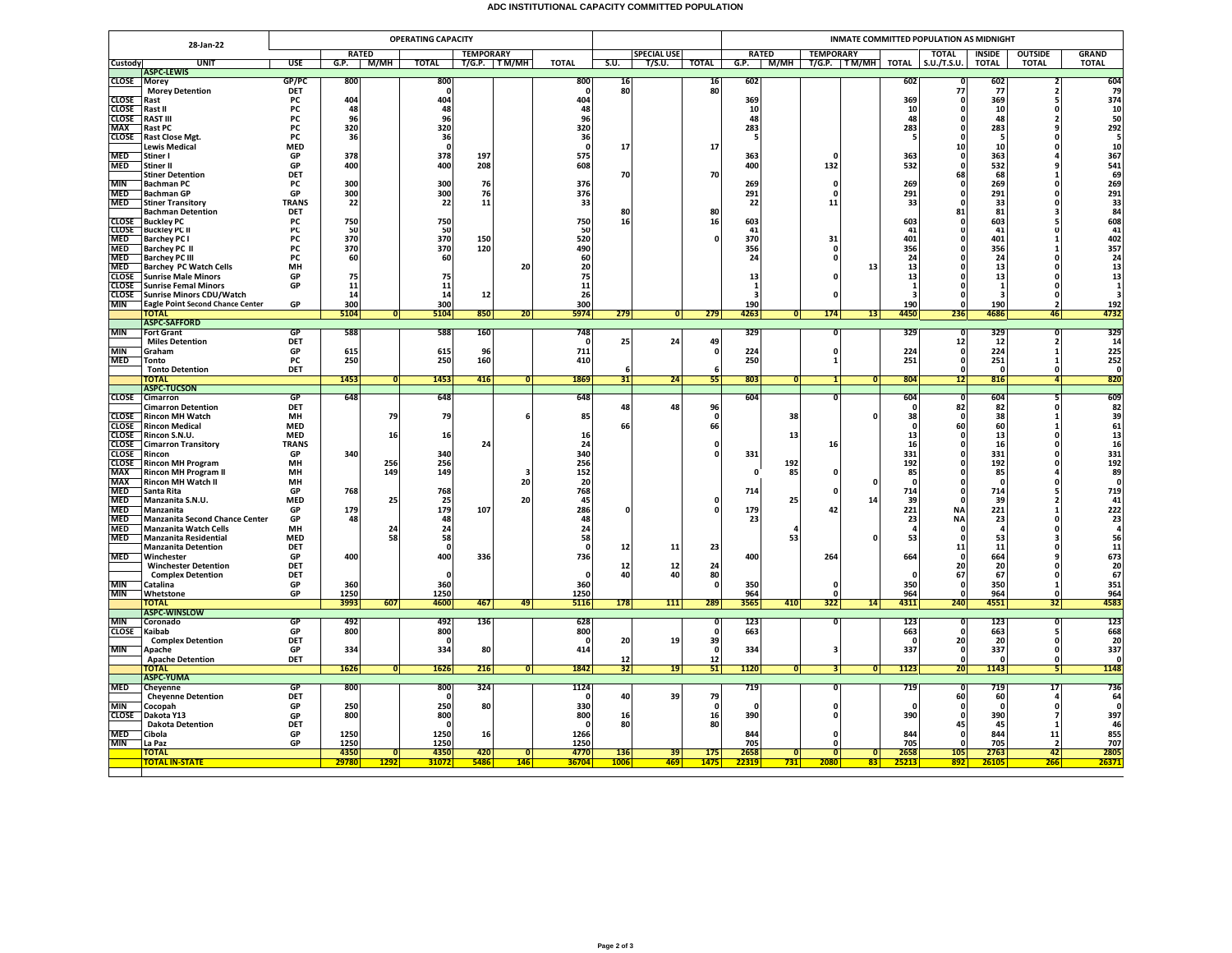## **ADC INSTITUTIONAL CAPACITY COMMITTED POPULATION**

|                              | 28-Jan-22                                                   |                            |                        | <b>OPERATING CAPACITY</b> |                  |          |                      |             |                    |                    | <b>INMATE COMMITTED POPULATION AS MIDNIGHT</b> |                         |                                      |                 |                |                        |                    |                                           |                                                                                                |  |
|------------------------------|-------------------------------------------------------------|----------------------------|------------------------|---------------------------|------------------|----------|----------------------|-------------|--------------------|--------------------|------------------------------------------------|-------------------------|--------------------------------------|-----------------|----------------|------------------------|--------------------|-------------------------------------------|------------------------------------------------------------------------------------------------|--|
|                              |                                                             |                            | <b>RATED</b>           |                           | <b>TEMPORARY</b> |          |                      |             | <b>SPECIAL USE</b> |                    | <b>RATED</b>                                   |                         | <b>TEMPORARY</b>                     |                 |                | <b>TOTAL</b>           | <b>INSIDE</b>      | <b>OUTSIDE</b>                            | <b>GRAND</b>                                                                                   |  |
| Custody                      | <b>UNIT</b><br><b>ASPC-LEWIS</b>                            | <b>USE</b>                 | G.P.<br>м/мн           | <b>TOTAL</b>              | T/G.P. TM/MH     |          | <b>TOTAL</b>         | S.U.        | T/S.U.             | <b>TOTAL</b>       |                                                |                         | G.P.   M/MH   T/G.P.   TM/MH   TOTAL |                 |                | S.U./T.S.U.            | <b>TOTAL</b>       | <b>TOTAL</b>                              | <b>TOTAL</b>                                                                                   |  |
| <b>CLOSE</b>                 | Morey                                                       | GP/PC                      | 800                    | 800                       |                  |          | 800                  | 16          |                    | 16                 | 602                                            |                         |                                      |                 | 602            |                        | 602                |                                           | 604                                                                                            |  |
| <b>CLOSE</b>                 | <b>Morey Detention</b><br>Rast                              | <b>DET</b><br>PC           | 404                    | 0<br>404                  |                  |          | 0<br>404             | 80          |                    | 80                 | 369                                            |                         |                                      |                 | 369            | 77<br>- 0              | 77<br>369          | $\overline{2}$<br>5                       | 79<br>374                                                                                      |  |
| <b>CLOSE</b>                 | Rast II                                                     | PC                         | 48                     | 48                        |                  |          | 48                   |             |                    |                    | 10                                             |                         |                                      |                 | 10             | 0                      | 10                 | $\Omega$                                  | $\frac{10}{50}$                                                                                |  |
| <b>CLOSE</b>                 | RAST III                                                    | PC                         | 96                     | 96                        |                  |          | 96                   |             |                    |                    | 48                                             |                         |                                      |                 | 48             |                        | 48                 | $\overline{2}$                            |                                                                                                |  |
| <b>MAX</b><br><b>CLOSE</b>   | Rast PC<br>Rast Close Mgt.                                  | PC<br>PC                   | 320<br>36              | 320<br>36                 |                  |          | 320<br>36            |             |                    |                    | 283<br>-5                                      |                         |                                      |                 | 283<br>-5      | 0<br>$\mathbf{0}$      | 283<br>- 5         | $\mathbf{q}$<br>$\Omega$                  | $\begin{array}{r} 292 \\ 5 \\ 10 \end{array}$                                                  |  |
|                              | Lewis Medical                                               | <b>MED</b>                 |                        | $\Omega$                  |                  |          | - 0                  | 17          |                    | 17                 |                                                |                         |                                      |                 |                | 10                     | 10                 | $\Omega$                                  |                                                                                                |  |
| <b>MED</b>                   | Stiner I                                                    | GP                         | 378                    | 378                       | 197              |          | 575                  |             |                    |                    | 363                                            |                         |                                      |                 | 363            | - 0                    | 363                |                                           | 367                                                                                            |  |
| <b>MED</b>                   | Stiner II<br><b>Stiner Detention</b>                        | GP<br>DET                  | 400                    | 400                       | 208              |          | 608                  | 70          |                    | 70                 | 400                                            |                         | 132                                  |                 | 532            | $\mathbf{0}$<br>68     | 532<br>68          | q<br>$\mathbf{1}$                         | 541<br>541<br>69<br>269<br>291                                                                 |  |
| <b>MIN</b>                   | Bachman PC                                                  | PC                         | 300                    | 300                       | 76               |          | 376                  |             |                    |                    | 269                                            |                         | 0                                    |                 | 269            | 0                      | 269                |                                           |                                                                                                |  |
| <b>MED</b><br><b>MED</b>     | Bachman GP                                                  | GP                         | 300<br>22              | 300<br>22                 | 76<br>11         |          | 376<br>33            |             |                    |                    | 291                                            |                         | $\Omega$<br>11                       |                 | 291            | O<br>$\mathbf{0}$      | 291                | $\Omega$<br>$\Omega$                      |                                                                                                |  |
|                              | <b>Stiner Transitory</b><br><b>Bachman Detention</b>        | <b>TRANS</b><br><b>DET</b> |                        |                           |                  |          |                      | 80          |                    | 80                 | 22                                             |                         |                                      |                 | 33             | 81                     | 33<br>81           | $\overline{\mathbf{3}}$                   |                                                                                                |  |
| CLOSE                        | <b>Buckley PC</b>                                           | PC                         | 750                    | 750                       |                  |          | 750                  | 16          |                    | 16                 | 603                                            |                         |                                      |                 | 603            | 0                      | 603                | 5                                         |                                                                                                |  |
| <b>CLOSE</b><br>MED          | Buckley PC II<br><b>Barchey PC I</b>                        | PC<br>PC                   | 50<br>370              | 50<br>370                 | 150              |          | 50<br>520            |             |                    | 0                  | 41<br>370                                      |                         | 31                                   |                 | 41<br>401      | O                      | 41<br>401          |                                           |                                                                                                |  |
| <b>MED</b>                   | Barchey PC II                                               | PC                         | 370                    | 370                       | 120              |          | 490                  |             |                    |                    | 356                                            |                         | n                                    |                 | 356            |                        | 356                | $\mathbf{1}$                              |                                                                                                |  |
| <b>MED</b>                   | <b>Barchey PC III</b>                                       | <b>PC</b>                  | 60                     | 60                        |                  |          | 60                   |             |                    |                    | 24                                             |                         | n                                    |                 | 24             | n                      | 24                 | $\Omega$                                  |                                                                                                |  |
| <b>MED</b><br><b>CLOSE</b>   | <b>Barchey PC Watch Cells</b><br><b>Sunrise Male Minors</b> | MH<br>GP                   | 75                     | 75                        |                  | 20       | 20<br>75             |             |                    |                    | 13                                             |                         |                                      | 13              | 13<br>13       |                        | 13<br>13           | $\Omega$                                  | $\begin{array}{r} 33 \\ 84 \\ 608 \\ 41 \\ 402 \\ 357 \\ 24 \\ 13 \\ 13 \\ 1 \\ 3 \end{array}$ |  |
| <b>CLOSE</b>                 | <b>Sunrise Femal Minors</b>                                 | GP                         | 11                     | 11                        |                  |          | 11                   |             |                    |                    | 1                                              |                         |                                      |                 | $\mathbf{1}$   | c                      | $\mathbf{1}$       | $\Omega$                                  |                                                                                                |  |
| <b>CLOSE</b>                 | <b>Sunrise Minors CDU/Watch</b>                             |                            | 14                     | 14                        | 12               |          | 26                   |             |                    |                    | 3                                              |                         |                                      |                 | Е              | <b>C</b>               | - 3                | $\Omega$                                  |                                                                                                |  |
| <b>MIN</b>                   | <b>Eagle Point Second Chance Center</b><br><b>TOTAL</b>     | GP                         | 300<br>5104<br> 0      | 300<br>5104               | 850              | 20       | 300<br>5974          | 279         | 0                  | 279                | 190<br>4263                                    | $\overline{0}$          | 174                                  | 13              | 190<br>4450    | O<br>236               | 190<br>4686        | $\overline{2}$<br>46                      | 192<br>4732                                                                                    |  |
|                              | <b>ASPC-SAFFORD</b>                                         |                            |                        |                           |                  |          |                      |             |                    |                    |                                                |                         |                                      |                 |                |                        |                    |                                           |                                                                                                |  |
| <b>MIN</b>                   | <b>Fort Grant</b><br><b>Miles Detention</b>                 | GP<br>DET                  | 588                    | 588                       | 160              |          | 748<br>$\mathbf{0}$  | 25          | 24                 | 49                 | 329                                            |                         | $\overline{\mathfrak{o}}$            |                 | 329            | ៝<br>12                | 329<br>12          | $\overline{0}$<br>$\overline{\mathbf{2}}$ | 329<br>14                                                                                      |  |
| <b>MIN</b>                   | Graham                                                      | GP                         | 615                    | 615                       | 96               |          | 711                  |             |                    | 0                  | 224                                            |                         | $\mathbf{0}$                         |                 | 224            | 0                      | 224                | $\mathbf{1}$                              | 225                                                                                            |  |
| <b>MED</b>                   | Tonto                                                       | PC                         | 250                    | 250                       | 160              |          | 410                  |             |                    |                    | 250                                            |                         |                                      |                 | 251            | $\mathbf{0}$           | 251                | $\mathbf{1}$                              | 252                                                                                            |  |
|                              | <b>Tonto Detention</b><br><b>TOTAL</b>                      | DET                        | 1453<br>$\Omega$       | 1453                      | 416              |          | 1869                 | 31          | 24                 | 6<br>55            | 803                                            | $\Omega$                | 1 <sup>1</sup>                       | $\overline{0}$  | 804            | $\mathbf{0}$<br>12     | $\Omega$<br>816    | $\Omega$<br>$\vert$                       | $\mathbf{0}$<br>820                                                                            |  |
|                              | <b>ASPC-TUCSON</b>                                          |                            |                        |                           |                  |          |                      |             |                    |                    |                                                |                         |                                      |                 |                |                        |                    |                                           |                                                                                                |  |
| <b>CLOSE</b>                 | Cimarron                                                    | <b>GP</b>                  | 648                    | 648                       |                  |          | 648                  |             |                    |                    | 604                                            |                         | n.                                   |                 | 604            | - 0                    | 604                | -5                                        | 609                                                                                            |  |
| CLOSE                        | <b>Cimarron Detention</b><br>Rincon MH Watch                | DET<br>MH                  | 79                     | 79                        |                  |          | 85                   | 48          | 48                 | 96<br>0            |                                                | 38                      |                                      |                 | 0<br>38        | 82                     | 82<br>38           | $\Omega$                                  | 82<br>39<br>61<br>13<br>13<br>16                                                               |  |
| <b>CLOSE</b>                 | Rincon Medical                                              | <b>MED</b>                 |                        |                           |                  |          |                      | 66          |                    | 66                 |                                                |                         |                                      |                 | 0              | 60                     | 60                 | 1                                         |                                                                                                |  |
| <b>CLOSE</b>                 | Rincon S.N.U.                                               | <b>MED</b>                 | 16                     | 16                        |                  |          | 16                   |             |                    |                    |                                                | 13                      |                                      |                 | 13             | -0                     | 13                 | $\Omega$                                  |                                                                                                |  |
| <b>CLOSE</b><br><b>CLOSE</b> | <b>Cimarron Transitory</b><br>Rincon                        | <b>TRANS</b><br>GP         | 340                    | 340                       | 24               |          | 24<br>340            |             |                    | O                  | 331                                            |                         | 16                                   |                 | 16<br>331      | 0                      | 16<br>331          | $\Omega$                                  | 331                                                                                            |  |
| <b>CLOSE</b>                 | Rincon MH Program                                           | MH                         | 256                    | 256                       |                  |          | 256                  |             |                    |                    |                                                | 192                     |                                      |                 | 192            | o                      | 192                | $\Omega$                                  | 192                                                                                            |  |
| <b>MAX</b><br><b>MAX</b>     | Rincon MH Program II<br>Rincon MH Watch II                  | MH<br>MH                   | 149                    | 149                       |                  | 20       | 152<br>20            |             |                    |                    | $\mathbf{0}$                                   | 85                      | ŋ                                    |                 | 85             | $\mathbf{0}$           | 85<br>$\mathbf{0}$ | $\Omega$                                  | $\begin{array}{c} 89 \\ 0 \end{array}$                                                         |  |
| <b>MED</b>                   | Santa Rita                                                  | GP                         | 768                    | 768                       |                  |          | 768                  |             |                    |                    | 714                                            |                         |                                      |                 | 714            | <b>C</b>               | 714                | 5                                         | 719                                                                                            |  |
| <b>MED</b>                   | Manzanita S.N.U.                                            | <b>MED</b>                 | 25                     | 25                        |                  | 20       | 45                   |             |                    | $\mathbf{0}$       |                                                | 25                      |                                      | 14              | 39             | -C                     | 39                 | $\overline{2}$                            |                                                                                                |  |
| <b>MED</b><br><b>MED</b>     | Manzanita<br><b>Manzanita Second Chance Center</b>          | GP<br>GP                   | 179<br>48              | 179<br>48                 | 107              |          | 286<br>48            |             |                    | $\mathbf{0}$       | 179<br>23                                      |                         | 42                                   |                 | 221<br>23      | <b>NA</b><br><b>NA</b> | 221<br>23          | $\mathbf{1}$                              |                                                                                                |  |
| <b>MED</b>                   | Manzanita Watch Cells                                       | <b>MH</b>                  | 24                     | 24                        |                  |          | 24                   |             |                    |                    |                                                | 4                       |                                      |                 | $\overline{a}$ | - 0                    |                    | $\Omega$                                  |                                                                                                |  |
| <b>MED</b>                   | Manzanita Residential                                       | <b>MED</b>                 | 58                     | 58                        |                  |          | 58                   |             |                    |                    |                                                | 53                      |                                      |                 | 53             | - 0                    | 53                 | $\overline{\mathbf{a}}$                   |                                                                                                |  |
| MED                          | <b>Manzanita Detention</b><br>Winchester                    | DET<br>GP                  | 400                    | 0<br>400                  | 336              |          | $\Omega$<br>736      | 12          | 11                 | 23                 | 400                                            |                         | 264                                  |                 | 664            | 11<br>C                | 11<br>664          | $\Omega$<br>9                             | 41<br>222<br>23<br>4<br>56<br>56<br>11<br>673<br>20<br>67                                      |  |
|                              | <b>Winchester Detention</b>                                 | DET                        |                        |                           |                  |          |                      | 12          | 12                 | 24                 |                                                |                         |                                      |                 |                | 20                     | 20                 | $\mathbf 0$                               |                                                                                                |  |
|                              | <b>Complex Detention</b>                                    | DET                        |                        | $\mathbf{0}$              |                  |          | $\mathbf{0}$         | 40          | 40                 | 80                 |                                                |                         |                                      |                 | 0              | 67                     | 67                 | $\Omega$                                  |                                                                                                |  |
| <b>MIN</b><br><b>MIN</b>     | Catalina<br>Whetstone                                       | GP<br>GP                   | 360<br>1250            | 360<br>1250               |                  |          | 360<br>1250          |             |                    | 0                  | 350<br>964                                     |                         | $\mathbf{0}$<br>$\Omega$             |                 | 350<br>964     | - C<br>O               | 350<br>964         | $\mathbf{1}$<br>$\Omega$                  | 351<br>964                                                                                     |  |
|                              | TOTAL                                                       |                            | 3993<br>607            | 4600                      | 467              | 49       | 5116                 | 178         | 111                | 289                | 3565                                           | 410                     | 322                                  | 14              | 4311           | 240                    | 4551               | 32                                        | 4583                                                                                           |  |
| <b>MIN</b>                   | <b>ASPC-WINSLOW</b><br>Coronado                             | GP                         | 492                    | 492                       | 136              |          | 628                  |             |                    |                    | 123                                            |                         |                                      |                 | 123            | τ                      | 123                | 0                                         | 123                                                                                            |  |
| <b>CLOSE</b>                 | Kaibab                                                      | GP                         | 800                    | 800                       |                  |          | 800                  |             |                    | 0                  | 663                                            |                         |                                      |                 | 663            | $\mathbf{0}$           | 663                | - 5                                       | 668                                                                                            |  |
|                              | <b>Complex Detention</b>                                    | DET                        |                        | $\Omega$                  |                  |          | - 0                  | 20          | 19                 | 39                 |                                                |                         |                                      |                 | - 0            | 20                     | 20                 | $\mathbf 0$                               | 20                                                                                             |  |
| <b>MIN</b>                   | Anache<br><b>Apache Detention</b>                           | GP<br><b>DET</b>           | 334                    | 334                       | 80               |          | 414                  | 12          |                    | $\mathbf{0}$<br>12 | 334                                            |                         | $\overline{\mathbf{3}}$              |                 | 337            | -0<br>o                | 337<br>0           | $\Omega$<br>$\mathbf{0}$                  | 337<br>$\mathbf{0}$                                                                            |  |
|                              | <b>TOTAL</b>                                                |                            | 1626<br>$\overline{0}$ | 1626                      | 216              | $\Omega$ | 1842                 | 32          | 19                 | 51                 | 1120                                           | $\overline{\mathbf{0}}$ | 31                                   | 0               | 1123           | 20                     | 1143               | -51                                       | 1148                                                                                           |  |
|                              | ASPC-YUMA                                                   |                            |                        |                           |                  |          |                      |             |                    |                    |                                                |                         |                                      |                 |                |                        |                    |                                           |                                                                                                |  |
| <b>MED</b>                   | Cheyenne<br><b>Cheyenne Detention</b>                       | GP<br>DET                  | 800                    | 800<br>0                  | 324              |          | 1124<br>-0           | 40          | 39                 | 79                 | 719                                            |                         | n                                    |                 | 719            | c<br>60                | 719<br>60          | 17                                        | 736<br>64                                                                                      |  |
| <b>MIN</b>                   | Cocopah                                                     | GP                         | 250                    | 250                       | 80               |          | 330                  |             |                    | 0                  | $\Omega$                                       |                         | O                                    |                 |                | - 0                    | - 0                | $\mathbf{0}$                              | $\mathbf 0$                                                                                    |  |
| <b>CLOSE</b>                 | Dakota Y13                                                  | GP                         | 800                    | 800                       |                  |          | 800                  | 16          |                    | 16                 | 390                                            |                         |                                      |                 | 390            | $\mathbf{0}$           | 390                | $\overline{7}$                            | 397                                                                                            |  |
| <b>MED</b>                   | <b>Dakota Detention</b><br>Cibola                           | DET<br>GP                  | 1250                   | 0<br>1250                 | 16               |          | $\mathbf{0}$<br>1266 | 80          |                    | 80                 | 844                                            |                         |                                      |                 | 844            | 45<br>$\mathbf{0}$     | 45<br>844          | $\mathbf{1}$<br>11                        | 46<br>855                                                                                      |  |
| <b>MIN</b>                   | La Paz                                                      | GP                         | 1250                   | 1250                      |                  |          | 1250                 |             |                    |                    | 705                                            |                         | <sup>o</sup>                         |                 | 705            | $\Omega$               | 705                | $\overline{2}$                            | 707                                                                                            |  |
|                              | <b>TOTAL</b>                                                |                            | 4350<br>$\overline{0}$ | 4350<br>31072             | 420<br>5486      | ō<br>146 | 4770                 | 136<br>1006 | 39<br>469          | 175<br>1475        | 2658                                           | $\overline{\mathbf{0}}$ | Ō                                    | $\overline{0}$  | 2658           | 105<br>892             | 2763               | 42                                        | 2805<br>26371                                                                                  |  |
|                              | <u> FOTAL IN-STATE</u>                                      |                            | 29780<br>1292          |                           |                  |          | 36704                |             |                    |                    | 22319                                          | <mark>731  </mark>      | 2080                                 | 83 <sup>1</sup> | 25213          |                        | 26105              | 266                                       |                                                                                                |  |